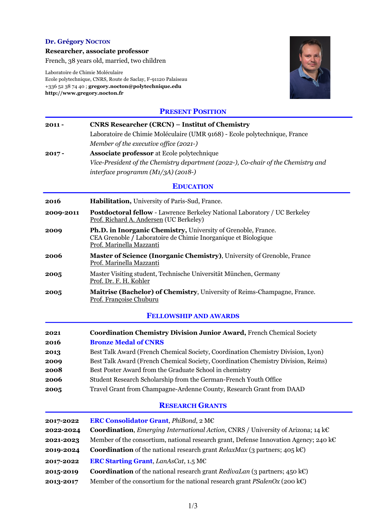### **Dr. Grégory NOCTON**

**Researcher, associate professor**

French, 38 years old, married, two children

Laboratoire de Chimie Moléculaire Ecole polytechnique, CNRS, Route de Saclay, F-91120 Palaiseau +336 52 38 74 40 ; **gregory.nocton@polytechnique.edu http://www.gregory.nocton.fr**



### **PRESENT POSITION**

| $2011 -$                     | <b>CNRS Researcher (CRCN) – Institut of Chemistry</b>                                                                                                       |  |
|------------------------------|-------------------------------------------------------------------------------------------------------------------------------------------------------------|--|
|                              | Laboratoire de Chimie Moléculaire (UMR 9168) - Ecole polytechnique, France                                                                                  |  |
|                              | Member of the executive office (2021-)                                                                                                                      |  |
| $2017 -$                     | <b>Associate professor</b> at Ecole polytechnique                                                                                                           |  |
|                              | Vice-President of the Chemistry department (2022-), Co-chair of the Chemistry and                                                                           |  |
|                              | interface programm $(M1/3A)$ (2018-)                                                                                                                        |  |
|                              | <b>EDUCATION</b>                                                                                                                                            |  |
| 2016                         | Habilitation, University of Paris-Sud, France.                                                                                                              |  |
| 2009-2011                    | <b>Postdoctoral fellow - Lawrence Berkeley National Laboratory / UC Berkeley</b><br>Prof. Richard A. Andersen (UC Berkeley)                                 |  |
| 2009                         | Ph.D. in Inorganic Chemistry, University of Grenoble, France.<br>CEA Grenoble / Laboratoire de Chimie Inorganique et Biologique<br>Prof. Marinella Mazzanti |  |
| 2006                         | <b>Master of Science (Inorganic Chemistry), University of Grenoble, France</b><br>Prof. Marinella Mazzanti                                                  |  |
| 2005                         | Master Visiting student, Technische Universität München, Germany<br>Prof. Dr. F. H. Kohler                                                                  |  |
| 2005                         | Maîtrise (Bachelor) of Chemistry, University of Reims-Champagne, France.<br>Prof. Françoise Chuburu                                                         |  |
| <b>FELLOWSHIP AND AWARDS</b> |                                                                                                                                                             |  |
| 2021                         | Coordination Chemistry Division Junior Award, French Chemical Society                                                                                       |  |
| 2016                         | <b>Bronze Medal of CNRS</b>                                                                                                                                 |  |

| 2016 | <b>Bronze Medal of CNRS</b>                                                       |
|------|-----------------------------------------------------------------------------------|
| 2013 | Best Talk Award (French Chemical Society, Coordination Chemistry Division, Lyon)  |
| 2009 | Best Talk Award (French Chemical Society, Coordination Chemistry Division, Reims) |
| 2008 | Best Poster Award from the Graduate School in chemistry                           |
| 2006 | Student Research Scholarship from the German-French Youth Office                  |
| 2005 | Travel Grant from Champagne-Ardenne County, Research Grant from DAAD              |

# **RESEARCH GRANTS**

| 2017-2022 | <b>ERC Consolidator Grant</b> , <i>PhiBond</i> , 2 M $\epsilon$                                       |
|-----------|-------------------------------------------------------------------------------------------------------|
| 2022-2024 | <b>Coordination</b> , <i>Emerging International Action</i> , CNRS / University of Arizona; 14 $k \in$ |
| 2021-2023 | Member of the consortium, national research grant, Defense Innovation Agency; 240 k $\epsilon$        |
| 2019-2024 | <b>Coordination</b> of the national research grant RelaxMax (3 partners; 405 kC)                      |
| 2017-2022 | <b>ERC Starting Grant, LanAsCat, 1.5 MC</b>                                                           |
| 2015-2019 | <b>Coordination</b> of the national research grant <i>RedivaLan</i> (3 partners; 450 k $\epsilon$ )   |
| 2013-2017 | Member of the consortium for the national research grant $PSalenOx$ (200 kC)                          |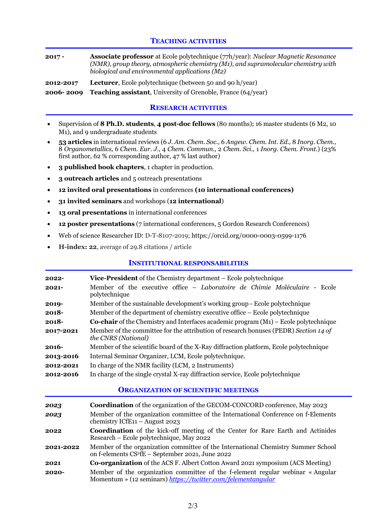# **TEACHING ACTIVITIES**

- **2017 - Associate professor** at Ecole polytechnique (77h/year): *Nuclear Magnetic Resonance (NMR), group theory, atmospheric chemistry (M1), and supramolecular chemistry with biological and environmental applications (M2)*
- **2012-2017 Lecturer**, Ecole polytechnique (between 50 and 90 h/year)

**2006- 2009 Teaching assistant**, University of Grenoble, France (64/year)

### **RESEARCH ACTIVITIES**

- Supervision of **8 Ph.D. students**, **4 post-doc fellows** (80 months); 16 master students (6 M2, 10 M1), and 9 undergraduate students
- **53 articles** in international reviews (6 *J. Am. Chem. Soc.,* 6 *Angew. Chem. Int. Ed.,* 8 *Inorg. Chem.,*  8 *Organometallics,* 6 *Chem. Eur. J.,* 4 *Chem. Commun.,* 2 *Chem. Sci.,* 1 *Inorg. Chem. Front.*) (23% first author, 62 % corresponding author, 47 % last author)
- **3 published book chapters**, 1 chapter in production.
- **3 outreach articles** and 5 outreach presentations
- **12 invited oral presentations** in conferences **(10 international conferences)**
- **31 invited seminars** and workshops (**12 international**)
- **13 oral presentations** in international conferences
- **12 poster presentations** (7 international conferences, 5 Gordon Research Conferences)
- Web of science Researcher ID: D-T-8107-2019; https://orcid.org/0000-0003-0599-1176
- **H-index: 22**, average of 29.8 citations / article

# **INSTITUTIONAL RESPONSABILITIES**

| 2022-     | <b>Vice-President</b> of the Chemistry department – Ecole polytechnique                                     |
|-----------|-------------------------------------------------------------------------------------------------------------|
| 2021-     | Member of the executive office – Laboratoire de Chimie Moléculaire - Ecole<br>polytechnique                 |
| 2019-     | Member of the sustainable development's working group - Ecole polytechnique                                 |
| $2018 -$  | Member of the department of chemistry executive office – Ecole polytechnique                                |
| 2018-     | <b>Co-chair</b> of the Chemistry and Interfaces academic program $(M_1)$ – Ecole polytechnique              |
| 2017-2021 | Member of the committee for the attribution of research bonuses (PEDR) Section 14 of<br>the CNRS (National) |
| 2016-     | Member of the scientific board of the X-Ray diffraction platform, Ecole polytechnique                       |
| 2013-2016 | Internal Seminar Organizer, LCM, Ecole polytechnique.                                                       |
| 2012-2021 | In charge of the NMR facility (LCM, 2 Instruments)                                                          |
| 2012-2016 | In charge of the single crystal X-ray diffraction service, Ecole polytechnique                              |
|           |                                                                                                             |

#### **ORGANIZATION OF SCIENTIFIC MEETINGS**

| 2023      | <b>Coordination</b> of the organization of the GECOM-CONCORD conference, May 2023                                                                 |
|-----------|---------------------------------------------------------------------------------------------------------------------------------------------------|
| 2023      | Member of the organization committee of the International Conference on f-Elements<br>chemistry ICfE <sub>11</sub> – August 2023                  |
| 2022      | <b>Coordination</b> of the kick-off meeting of the Center for Rare Earth and Actinides<br>Research - Ecole polytechnique, May 2022                |
| 2021-2022 | Member of the organization committee of the International Chemistry Summer School<br>on f-elements CS <sup>2</sup> fE - September 2021, June 2022 |
| 2021      | <b>Co-organization</b> of the ACS F. Albert Cotton Award 2021 symposium (ACS Meeting)                                                             |
| 2020-     | Member of the organization committee of the f-element regular webinar « Angular<br>Momentum » (12 seminars) https://twitter.com/felementangular   |